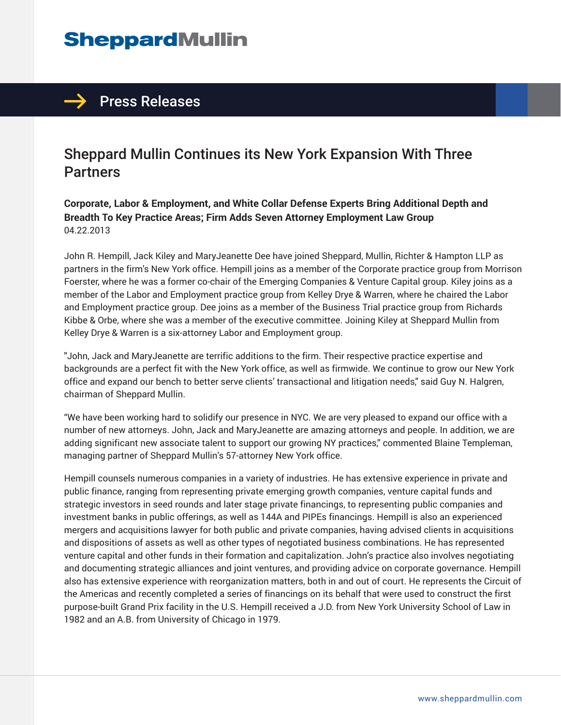## **SheppardMullin**

## $\rightarrow$  Press Releases

## Sheppard Mullin Continues its New York Expansion With Three **Partners**

**Corporate, Labor & Employment, and White Collar Defense Experts Bring Additional Depth and Breadth To Key Practice Areas; Firm Adds Seven Attorney Employment Law Group** 04.22.2013

John R. Hempill, Jack Kiley and MaryJeanette Dee have joined Sheppard, Mullin, Richter & Hampton LLP as partners in the firm's New York office. Hempill joins as a member of the Corporate practice group from Morrison Foerster, where he was a former co-chair of the Emerging Companies & Venture Capital group. Kiley joins as a member of the Labor and Employment practice group from Kelley Drye & Warren, where he chaired the Labor and Employment practice group. Dee joins as a member of the Business Trial practice group from Richards Kibbe & Orbe, where she was a member of the executive committee. Joining Kiley at Sheppard Mullin from Kelley Drye & Warren is a six-attorney Labor and Employment group.

"John, Jack and MaryJeanette are terrific additions to the firm. Their respective practice expertise and backgrounds are a perfect fit with the New York office, as well as firmwide. We continue to grow our New York office and expand our bench to better serve clients' transactional and litigation needs," said Guy N. Halgren, chairman of Sheppard Mullin.

"We have been working hard to solidify our presence in NYC. We are very pleased to expand our office with a number of new attorneys. John, Jack and MaryJeanette are amazing attorneys and people. In addition, we are adding significant new associate talent to support our growing NY practices," commented Blaine Templeman, managing partner of Sheppard Mullin's 57-attorney New York office.

Hempill counsels numerous companies in a variety of industries. He has extensive experience in private and public finance, ranging from representing private emerging growth companies, venture capital funds and strategic investors in seed rounds and later stage private financings, to representing public companies and investment banks in public offerings, as well as 144A and PIPEs financings. Hempill is also an experienced mergers and acquisitions lawyer for both public and private companies, having advised clients in acquisitions and dispositions of assets as well as other types of negotiated business combinations. He has represented venture capital and other funds in their formation and capitalization. John's practice also involves negotiating and documenting strategic alliances and joint ventures, and providing advice on corporate governance. Hempill also has extensive experience with reorganization matters, both in and out of court. He represents the Circuit of the Americas and recently completed a series of financings on its behalf that were used to construct the first purpose-built Grand Prix facility in the U.S. Hempill received a J.D. from New York University School of Law in 1982 and an A.B. from University of Chicago in 1979.